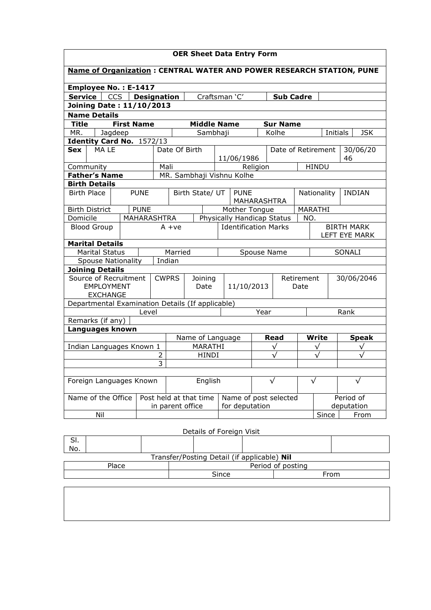| <b>OER Sheet Data Entry Form</b>                                                   |                                                                 |                   |             |                         |                        |                                             |                                         |            |                 |                              |                         |              |                   |
|------------------------------------------------------------------------------------|-----------------------------------------------------------------|-------------------|-------------|-------------------------|------------------------|---------------------------------------------|-----------------------------------------|------------|-----------------|------------------------------|-------------------------|--------------|-------------------|
| <b>Name of Organization: CENTRAL WATER AND POWER RESEARCH STATION, PUNE</b>        |                                                                 |                   |             |                         |                        |                                             |                                         |            |                 |                              |                         |              |                   |
| Employee No.: E-1417                                                               |                                                                 |                   |             |                         |                        |                                             |                                         |            |                 |                              |                         |              |                   |
| CCS  <br>Craftsman 'C'<br><b>Service</b><br><b>Designation</b><br><b>Sub Cadre</b> |                                                                 |                   |             |                         |                        |                                             |                                         |            |                 |                              |                         |              |                   |
| <b>Joining Date: 11/10/2013</b>                                                    |                                                                 |                   |             |                         |                        |                                             |                                         |            |                 |                              |                         |              |                   |
| <b>Name Details</b>                                                                |                                                                 |                   |             |                         |                        |                                             |                                         |            |                 |                              |                         |              |                   |
| <b>Title</b>                                                                       |                                                                 | <b>First Name</b> |             |                         |                        | <b>Middle Name</b>                          |                                         |            | <b>Sur Name</b> |                              |                         |              |                   |
| MR.                                                                                | Jagdeep                                                         |                   |             |                         |                        | Sambhaji                                    |                                         |            | Kolhe           |                              | Initials                |              | <b>JSK</b>        |
|                                                                                    | Identity Card No. 1572/13                                       |                   |             |                         |                        |                                             |                                         |            |                 |                              |                         |              |                   |
| Sex                                                                                | MA LE                                                           |                   |             |                         | Date Of Birth          |                                             |                                         |            |                 |                              | Date of Retirement      |              | 30/06/20          |
|                                                                                    |                                                                 |                   |             |                         |                        |                                             | 11/06/1986                              |            |                 |                              |                         | 46           |                   |
|                                                                                    | Community                                                       |                   |             | Mali                    |                        |                                             |                                         | Religion   |                 |                              | <b>HINDU</b>            |              |                   |
|                                                                                    | <b>Father's Name</b>                                            |                   |             |                         |                        | MR. Sambhaji Vishnu Kolhe                   |                                         |            |                 |                              |                         |              |                   |
|                                                                                    | <b>Birth Details</b>                                            |                   |             |                         |                        |                                             |                                         |            |                 |                              |                         |              |                   |
|                                                                                    | <b>Birth Place</b>                                              |                   | <b>PUNE</b> | Birth State/ UT         |                        |                                             | <b>PUNE</b><br>MAHARASHTRA              |            |                 | Nationality<br><b>INDIAN</b> |                         |              |                   |
|                                                                                    |                                                                 |                   |             |                         |                        |                                             |                                         |            |                 |                              |                         |              |                   |
|                                                                                    | <b>PUNE</b><br><b>Birth District</b><br>Domicile<br>MAHARASHTRA |                   |             |                         |                        | Mother Tongue<br>Physically Handicap Status |                                         |            |                 |                              | MARATHI<br>NO.          |              |                   |
|                                                                                    | <b>Blood Group</b>                                              |                   |             |                         | $A + ve$               |                                             |                                         |            |                 |                              |                         |              | <b>BIRTH MARK</b> |
|                                                                                    |                                                                 |                   |             |                         |                        |                                             | Identification Marks                    |            |                 |                              | LEFT EYE MARK           |              |                   |
| <b>Marital Details</b>                                                             |                                                                 |                   |             |                         |                        |                                             |                                         |            |                 |                              |                         |              |                   |
| <b>Marital Status</b>                                                              |                                                                 |                   |             | Married                 |                        | Spouse Name                                 |                                         |            |                 |                              | SONALI                  |              |                   |
| Indian<br><b>Spouse Nationality</b>                                                |                                                                 |                   |             |                         |                        |                                             |                                         |            |                 |                              |                         |              |                   |
| <b>Joining Details</b>                                                             |                                                                 |                   |             |                         |                        |                                             |                                         |            |                 |                              |                         |              |                   |
| Source of Recruitment                                                              |                                                                 |                   |             | <b>CWPRS</b><br>Joining |                        |                                             |                                         |            | Retirement      |                              |                         | 30/06/2046   |                   |
|                                                                                    | EMPLOYMENT                                                      |                   |             |                         | Date                   |                                             | 11/10/2013                              |            |                 | Date                         |                         |              |                   |
|                                                                                    | <b>EXCHANGE</b>                                                 |                   |             |                         |                        |                                             |                                         |            |                 |                              |                         |              |                   |
|                                                                                    | Departmental Examination Details (If applicable)                |                   |             |                         |                        |                                             |                                         |            |                 |                              |                         |              |                   |
|                                                                                    |                                                                 |                   | Level       |                         |                        |                                             |                                         | Year       |                 |                              |                         | Rank         |                   |
|                                                                                    | Remarks (if any)                                                |                   |             |                         |                        |                                             |                                         |            |                 |                              |                         |              |                   |
|                                                                                    | Languages known                                                 |                   |             |                         |                        |                                             |                                         |            |                 |                              |                         |              |                   |
|                                                                                    |                                                                 |                   |             |                         | Name of Language       |                                             |                                         | Read       |                 | Write                        |                         | <b>Speak</b> |                   |
| Indian Languages Known 1                                                           |                                                                 |                   |             |                         | MARATHI                |                                             |                                         | $\sqrt{}$  |                 | $\sqrt{}$                    |                         | $\sqrt{}$    |                   |
|                                                                                    |                                                                 |                   | 2           |                         | <b>HINDI</b>           |                                             |                                         | $\sqrt{ }$ |                 | $\sqrt{ }$                   |                         | $\sqrt{ }$   |                   |
| 3                                                                                  |                                                                 |                   |             |                         |                        |                                             |                                         |            |                 |                              |                         |              |                   |
| Foreign Languages Known                                                            |                                                                 |                   |             |                         | English                | $\sqrt{}$                                   |                                         |            | $\sqrt{}$       |                              |                         | $\sqrt{}$    |                   |
| Name of the Office                                                                 |                                                                 |                   |             | in parent office        | Post held at that time |                                             | Name of post selected<br>for deputation |            |                 |                              | Period of<br>deputation |              |                   |
|                                                                                    | Nil                                                             |                   |             |                         |                        |                                             |                                         |            |                 |                              | Since                   |              | From              |
|                                                                                    |                                                                 |                   |             |                         |                        |                                             |                                         |            |                 |                              |                         |              |                   |
| Details of Foreign Visit                                                           |                                                                 |                   |             |                         |                        |                                             |                                         |            |                 |                              |                         |              |                   |

| э۱.<br>No.                                  |       |  |                   |  |  |  |  |  |  |  |  |
|---------------------------------------------|-------|--|-------------------|--|--|--|--|--|--|--|--|
| Transfer/Posting Detail (if applicable) Nil |       |  |                   |  |  |  |  |  |  |  |  |
|                                             | Place |  | Period of posting |  |  |  |  |  |  |  |  |
|                                             |       |  | Since<br>From     |  |  |  |  |  |  |  |  |
|                                             |       |  |                   |  |  |  |  |  |  |  |  |